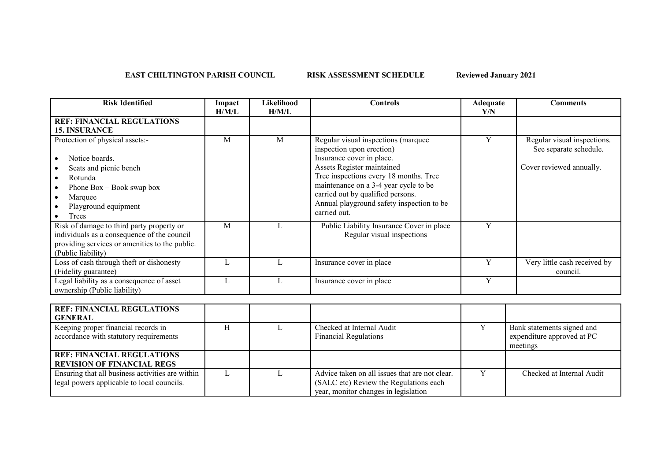**EAST CHILTINGTON PARISH COUNCIL RISK ASSESSMENT SCHEDULE Reviewed January 2021** 

- r

٦

| <b>Risk Identified</b>                                                                                                                                                    | Impact<br>H/M/L | Likelihood<br>H/M/L | <b>Controls</b>                                                                                                                  | Adequate<br>Y/N | <b>Comments</b>                                                      |
|---------------------------------------------------------------------------------------------------------------------------------------------------------------------------|-----------------|---------------------|----------------------------------------------------------------------------------------------------------------------------------|-----------------|----------------------------------------------------------------------|
| <b>REF: FINANCIAL REGULATIONS</b>                                                                                                                                         |                 |                     |                                                                                                                                  |                 |                                                                      |
| <b>15. INSURANCE</b>                                                                                                                                                      |                 |                     |                                                                                                                                  |                 |                                                                      |
| Protection of physical assets:-<br>Notice boards.<br>$\bullet$                                                                                                            | M               | M                   | Regular visual inspections (marquee<br>inspection upon erection)<br>Insurance cover in place.                                    | Y               | Regular visual inspections.<br>See separate schedule.                |
| Seats and picnic bench                                                                                                                                                    |                 |                     | Assets Register maintained                                                                                                       |                 | Cover reviewed annually.                                             |
| Rotunda                                                                                                                                                                   |                 |                     | Tree inspections every 18 months. Tree                                                                                           |                 |                                                                      |
| $\bullet$                                                                                                                                                                 |                 |                     | maintenance on a 3-4 year cycle to be                                                                                            |                 |                                                                      |
| Phone $Box - Book swap box$                                                                                                                                               |                 |                     | carried out by qualified persons.                                                                                                |                 |                                                                      |
| Marquee<br>$\bullet$                                                                                                                                                      |                 |                     | Annual playground safety inspection to be                                                                                        |                 |                                                                      |
| Playground equipment                                                                                                                                                      |                 |                     | carried out.                                                                                                                     |                 |                                                                      |
| Trees<br>Risk of damage to third party property or<br>individuals as a consequence of the council<br>providing services or amenities to the public.<br>(Public liability) | M               | L                   | Public Liability Insurance Cover in place<br>Regular visual inspections                                                          | Y               |                                                                      |
| Loss of cash through theft or dishonesty                                                                                                                                  | $\mathbf{L}$    | L                   | Insurance cover in place                                                                                                         | Y               | Very little cash received by                                         |
| (Fidelity guarantee)                                                                                                                                                      |                 |                     |                                                                                                                                  |                 | council.                                                             |
| Legal liability as a consequence of asset<br>ownership (Public liability)                                                                                                 | L               | L                   | Insurance cover in place                                                                                                         | $\overline{Y}$  |                                                                      |
|                                                                                                                                                                           |                 |                     |                                                                                                                                  |                 |                                                                      |
| <b>REF: FINANCIAL REGULATIONS</b><br><b>GENERAL</b>                                                                                                                       |                 |                     |                                                                                                                                  |                 |                                                                      |
| Keeping proper financial records in<br>accordance with statutory requirements                                                                                             | $\rm H$         | L                   | Checked at Internal Audit<br><b>Financial Regulations</b>                                                                        | Y               | Bank statements signed and<br>expenditure approved at PC<br>meetings |
| <b>REF: FINANCIAL REGULATIONS</b>                                                                                                                                         |                 |                     |                                                                                                                                  |                 |                                                                      |
| <b>REVISION OF FINANCIAL REGS</b>                                                                                                                                         |                 |                     |                                                                                                                                  |                 |                                                                      |
| Ensuring that all business activities are within<br>legal powers applicable to local councils.                                                                            | L               | L                   | Advice taken on all issues that are not clear.<br>(SALC etc) Review the Regulations each<br>year, monitor changes in legislation | Y               | Checked at Internal Audit                                            |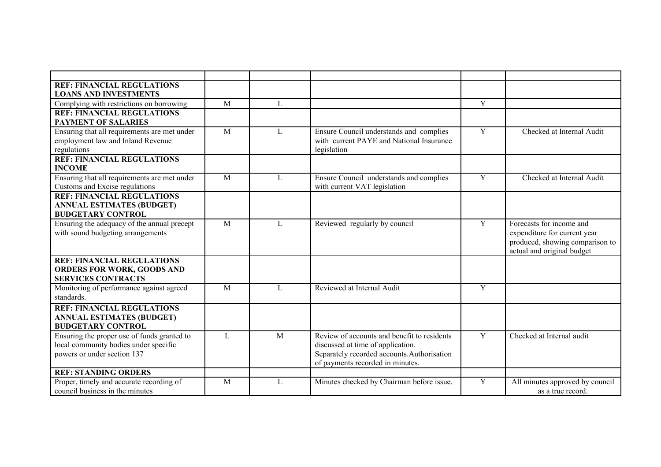| <b>REF: FINANCIAL REGULATIONS</b>            |              |   |                                             |                |                                 |
|----------------------------------------------|--------------|---|---------------------------------------------|----------------|---------------------------------|
| <b>LOANS AND INVESTMENTS</b>                 |              |   |                                             |                |                                 |
| Complying with restrictions on borrowing     | M            | L |                                             | Y              |                                 |
| <b>REF: FINANCIAL REGULATIONS</b>            |              |   |                                             |                |                                 |
| <b>PAYMENT OF SALARIES</b>                   |              |   |                                             |                |                                 |
| Ensuring that all requirements are met under | M            | L | Ensure Council understands and complies     | Y              | Checked at Internal Audit       |
| employment law and Inland Revenue            |              |   | with current PAYE and National Insurance    |                |                                 |
| regulations                                  |              |   | legislation                                 |                |                                 |
| <b>REF: FINANCIAL REGULATIONS</b>            |              |   |                                             |                |                                 |
| <b>INCOME</b>                                |              |   |                                             |                |                                 |
| Ensuring that all requirements are met under | M            | L | Ensure Council understands and complies     | $\overline{Y}$ | Checked at Internal Audit       |
| Customs and Excise regulations               |              |   | with current VAT legislation                |                |                                 |
| <b>REF: FINANCIAL REGULATIONS</b>            |              |   |                                             |                |                                 |
| <b>ANNUAL ESTIMATES (BUDGET)</b>             |              |   |                                             |                |                                 |
| <b>BUDGETARY CONTROL</b>                     |              |   |                                             |                |                                 |
| Ensuring the adequacy of the annual precept  | M            | L | Reviewed regularly by council               | Y              | Forecasts for income and        |
| with sound budgeting arrangements            |              |   |                                             |                | expenditure for current year    |
|                                              |              |   |                                             |                | produced, showing comparison to |
|                                              |              |   |                                             |                | actual and original budget      |
| <b>REF: FINANCIAL REGULATIONS</b>            |              |   |                                             |                |                                 |
| ORDERS FOR WORK, GOODS AND                   |              |   |                                             |                |                                 |
| <b>SERVICES CONTRACTS</b>                    |              |   |                                             |                |                                 |
| Monitoring of performance against agreed     | M            | L | Reviewed at Internal Audit                  | $\overline{Y}$ |                                 |
| standards.                                   |              |   |                                             |                |                                 |
| <b>REF: FINANCIAL REGULATIONS</b>            |              |   |                                             |                |                                 |
| <b>ANNUAL ESTIMATES (BUDGET)</b>             |              |   |                                             |                |                                 |
| <b>BUDGETARY CONTROL</b>                     |              |   |                                             |                |                                 |
| Ensuring the proper use of funds granted to  | $\mathbf{L}$ | M | Review of accounts and benefit to residents | $\overline{Y}$ | Checked at Internal audit       |
| local community bodies under specific        |              |   | discussed at time of application.           |                |                                 |
| powers or under section 137                  |              |   | Separately recorded accounts.Authorisation  |                |                                 |
|                                              |              |   | of payments recorded in minutes.            |                |                                 |
| <b>REF: STANDING ORDERS</b>                  |              |   |                                             |                |                                 |
| Proper, timely and accurate recording of     | M            | L | Minutes checked by Chairman before issue.   | Y              | All minutes approved by council |
| council business in the minutes              |              |   |                                             |                | as a true record.               |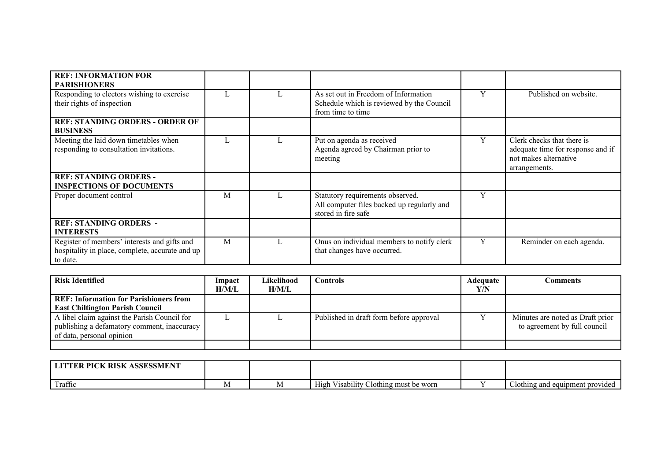| <b>REF: INFORMATION FOR</b><br><b>PARISHIONERS</b>                                                          |   |                                                                                                        |   |                                                                                                           |
|-------------------------------------------------------------------------------------------------------------|---|--------------------------------------------------------------------------------------------------------|---|-----------------------------------------------------------------------------------------------------------|
| Responding to electors wishing to exercise<br>their rights of inspection                                    |   | As set out in Freedom of Information<br>Schedule which is reviewed by the Council<br>from time to time | Y | Published on website.                                                                                     |
| <b>REF: STANDING ORDERS - ORDER OF</b><br><b>BUSINESS</b>                                                   |   |                                                                                                        |   |                                                                                                           |
| Meeting the laid down timetables when<br>responding to consultation invitations.                            |   | Put on agenda as received<br>Agenda agreed by Chairman prior to<br>meeting                             | Y | Clerk checks that there is<br>adequate time for response and if<br>not makes alternative<br>arrangements. |
| <b>REF: STANDING ORDERS -</b><br><b>INSPECTIONS OF DOCUMENTS</b>                                            |   |                                                                                                        |   |                                                                                                           |
| Proper document control                                                                                     | M | Statutory requirements observed.<br>All computer files backed up regularly and<br>stored in fire safe  | Y |                                                                                                           |
| <b>REF: STANDING ORDERS -</b><br><b>INTERESTS</b>                                                           |   |                                                                                                        |   |                                                                                                           |
| Register of members' interests and gifts and<br>hospitality in place, complete, accurate and up<br>to date. | M | Onus on individual members to notify clerk<br>that changes have occurred.                              | Y | Reminder on each agenda.                                                                                  |

| <b>Risk Identified</b>                        | Impact | Likelihood | Controls                                | Adequate | <b>Comments</b>                  |
|-----------------------------------------------|--------|------------|-----------------------------------------|----------|----------------------------------|
|                                               | H/M/L  | H/M/L      |                                         | Y/N      |                                  |
| <b>REF:</b> Information for Parishioners from |        |            |                                         |          |                                  |
| <b>East Chiltington Parish Council</b>        |        |            |                                         |          |                                  |
| A libel claim against the Parish Council for  |        |            | Published in draft form before approval |          | Minutes are noted as Draft prior |
| publishing a defamatory comment, inaccuracy   |        |            |                                         |          | to agreement by full council     |
| of data, personal opinion                     |        |            |                                         |          |                                  |
|                                               |        |            |                                         |          |                                  |

| <b>ASSESSMENT</b><br>DICY<br>PICK |      |                                                                                                       |                                 |
|-----------------------------------|------|-------------------------------------------------------------------------------------------------------|---------------------------------|
| Traffic                           | IVI. | $\cdots$<br>$\mathbf{r}$<br>- -<br>$\sim$<br>Clothing must be worn<br>Visability<br>H <sub>1</sub> gh | Clothing and equipment provided |